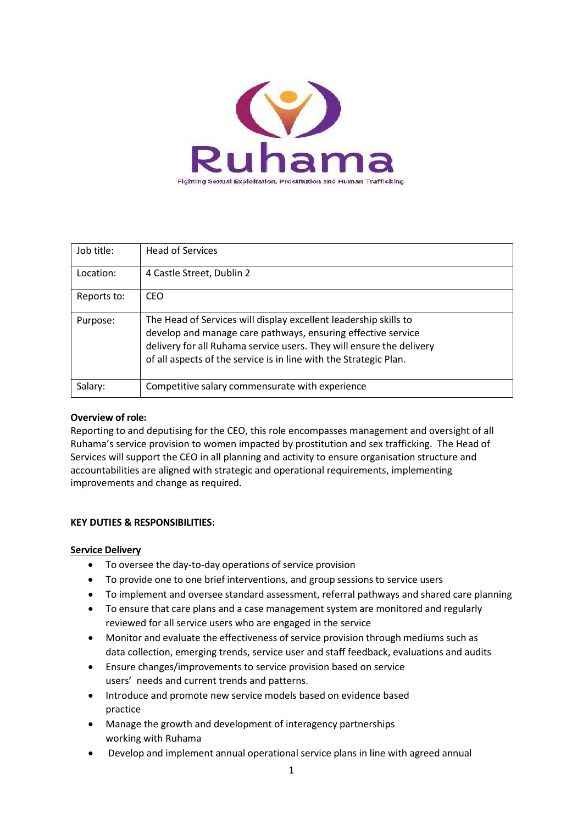

| Job title:  | <b>Head of Services</b>                                                                                                                                                                                                                                                       |
|-------------|-------------------------------------------------------------------------------------------------------------------------------------------------------------------------------------------------------------------------------------------------------------------------------|
| Location:   | 4 Castle Street, Dublin 2                                                                                                                                                                                                                                                     |
| Reports to: | CEO                                                                                                                                                                                                                                                                           |
| Purpose:    | The Head of Services will display excellent leadership skills to<br>develop and manage care pathways, ensuring effective service<br>delivery for all Ruhama service users. They will ensure the delivery<br>of all aspects of the service is in line with the Strategic Plan. |
| Salary:     | Competitive salary commensurate with experience                                                                                                                                                                                                                               |

## **Overview of role:**

Reporting to and deputising for the CEO, this role encompasses management and oversight of all Ruhama's service provision to women impacted by prostitution and sex trafficking. The Head of Services will support the CEO in all planning and activity to ensure organisation structure and accountabilities are aligned with strategic and operational requirements, implementing improvements and change as required.

# **KEY DUTIES & RESPONSIBILITIES:**

### **Service Delivery**

- To oversee the day-to-day operations of service provision
- To provide one to one brief interventions, and group sessions to service users
- To implement and oversee standard assessment, referral pathways and shared care planning
- To ensure that care plans and a case management system are monitored and regularly reviewed for all service users who are engaged in the service
- Monitor and evaluate the effectiveness of service provision through mediums such as data collection, emerging trends, service user and staff feedback, evaluations and audits
- Ensure changes/improvements to service provision based on service users' needs and current trends and patterns.
- Introduce and promote new service models based on evidence based practice
- Manage the growth and development of interagency partnerships working with Ruhama
- Develop and implement annual operational service plans in line with agreed annual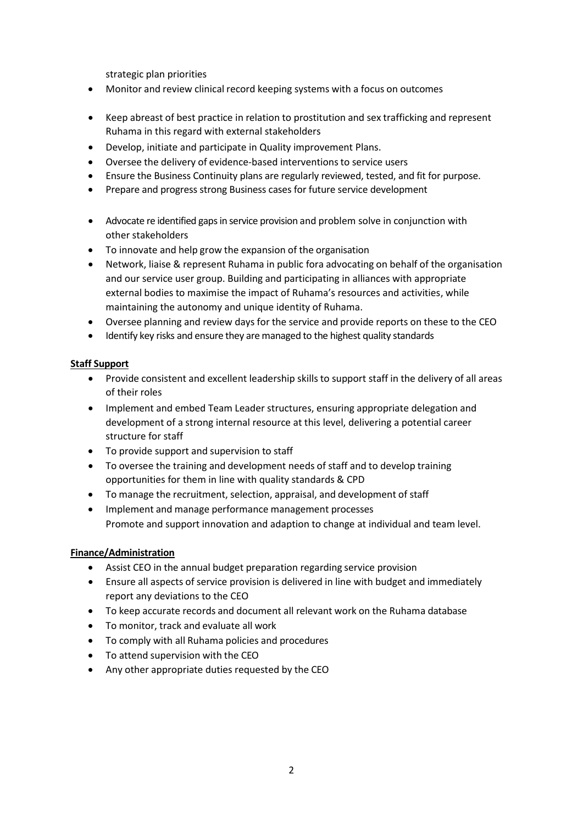strategic plan priorities

- Monitor and review clinical record keeping systems with a focus on outcomes
- Keep abreast of best practice in relation to prostitution and sex trafficking and represent Ruhama in this regard with external stakeholders
- Develop, initiate and participate in Quality improvement Plans.
- Oversee the delivery of evidence-based interventions to service users
- Ensure the Business Continuity plans are regularly reviewed, tested, and fit for purpose.
- Prepare and progress strong Business cases for future service development
- Advocate re identified gaps in service provision and problem solve in conjunction with other stakeholders
- To innovate and help grow the expansion of the organisation
- Network, liaise & represent Ruhama in public fora advocating on behalf of the organisation and our service user group. Building and participating in alliances with appropriate external bodies to maximise the impact of Ruhama's resources and activities, while maintaining the autonomy and unique identity of Ruhama.
- Oversee planning and review days for the service and provide reports on these to the CEO
- Identify key risks and ensure they are managed to the highest quality standards

### **Staff Support**

- Provide consistent and excellent leadership skills to support staff in the delivery of all areas of their roles
- Implement and embed Team Leader structures, ensuring appropriate delegation and development of a strong internal resource at this level, delivering a potential career structure for staff
- To provide support and supervision to staff
- To oversee the training and development needs of staff and to develop training opportunities for them in line with quality standards & CPD
- To manage the recruitment, selection, appraisal, and development of staff
- Implement and manage performance management processes Promote and support innovation and adaption to change at individual and team level.

### **Finance/Administration**

- Assist CEO in the annual budget preparation regarding service provision
- Ensure all aspects of service provision is delivered in line with budget and immediately report any deviations to the CEO
- To keep accurate records and document all relevant work on the Ruhama database
- To monitor, track and evaluate all work
- To comply with all Ruhama policies and procedures
- To attend supervision with the CEO
- Any other appropriate duties requested by the CEO